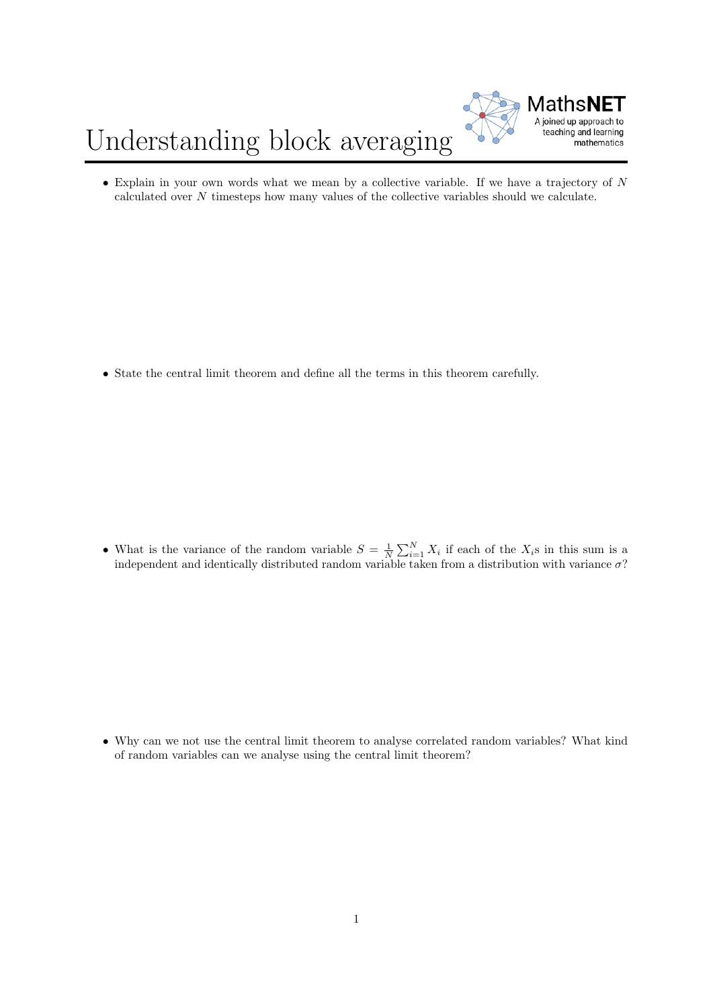## Understanding block averaging



 $\bullet$  Explain in your own words what we mean by a collective variable. If we have a trajectory of N calculated over N timesteps how many values of the collective variables should we calculate.

• State the central limit theorem and define all the terms in this theorem carefully.

• What is the variance of the random variable  $S = \frac{1}{N} \sum_{i=1}^{N} X_i$  if each of the  $X_i$ s in this sum is a independent and identically distributed random variable taken from a distribution with variance  $\sigma$ ?

• Why can we not use the central limit theorem to analyse correlated random variables? What kind of random variables can we analyse using the central limit theorem?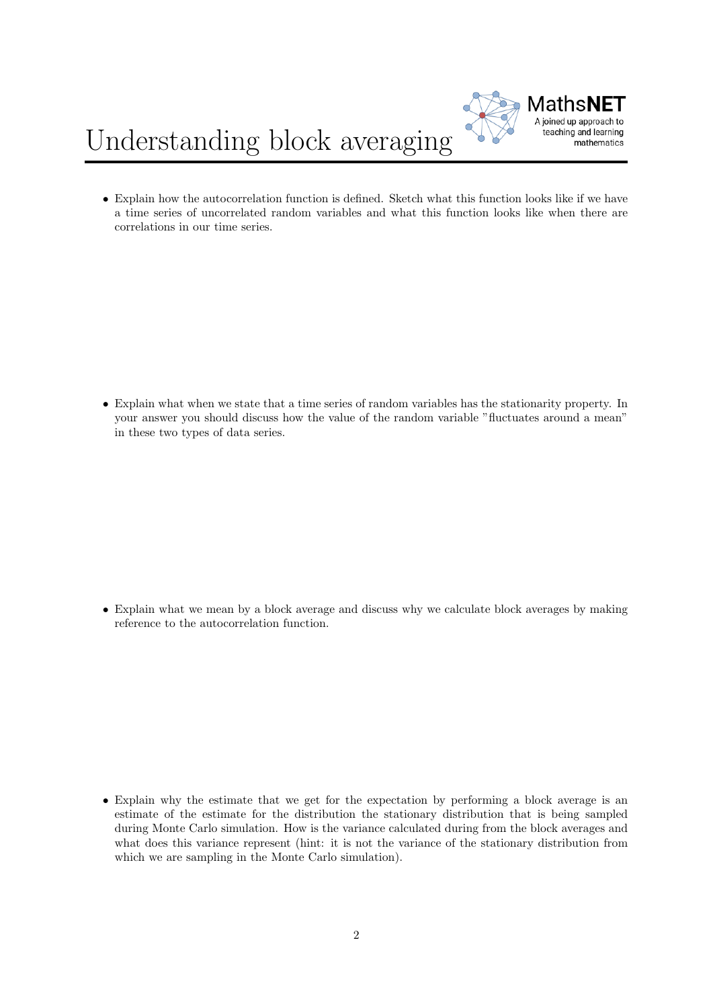

## Understanding block averaging

• Explain how the autocorrelation function is defined. Sketch what this function looks like if we have a time series of uncorrelated random variables and what this function looks like when there are correlations in our time series.

• Explain what when we state that a time series of random variables has the stationarity property. In your answer you should discuss how the value of the random variable "fluctuates around a mean" in these two types of data series.

• Explain what we mean by a block average and discuss why we calculate block averages by making reference to the autocorrelation function.

• Explain why the estimate that we get for the expectation by performing a block average is an estimate of the estimate for the distribution the stationary distribution that is being sampled during Monte Carlo simulation. How is the variance calculated during from the block averages and what does this variance represent (hint: it is not the variance of the stationary distribution from which we are sampling in the Monte Carlo simulation).